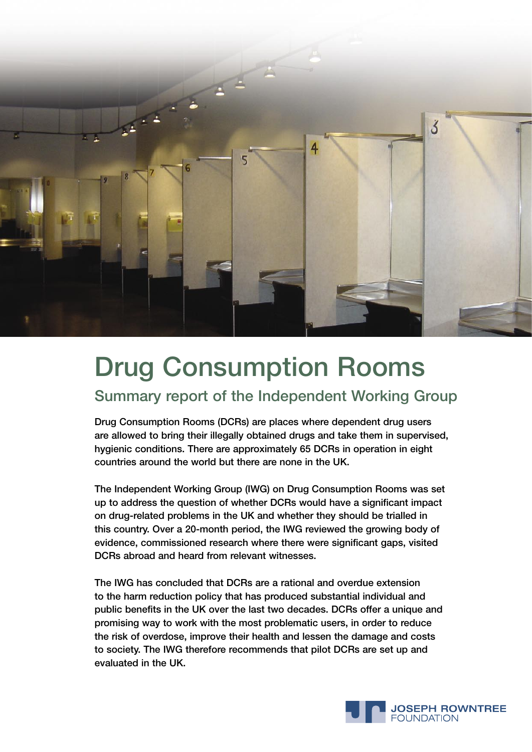

# Drug Consumption Rooms

# Summary report of the Independent Working Group

Drug Consumption Rooms (DCRs) are places where dependent drug users are allowed to bring their illegally obtained drugs and take them in supervised, hygienic conditions. There are approximately 65 DCRs in operation in eight countries around the world but there are none in the UK.

The Independent Working Group (IWG) on Drug Consumption Rooms was set up to address the question of whether DCRs would have a significant impact on drug-related problems in the UK and whether they should be trialled in this country. Over a 20-month period, the IWG reviewed the growing body of evidence, commissioned research where there were significant gaps, visited DCRs abroad and heard from relevant witnesses.

The IWG has concluded that DCRs are a rational and overdue extension to the harm reduction policy that has produced substantial individual and public benefits in the UK over the last two decades. DCRs offer a unique and promising way to work with the most problematic users, in order to reduce the risk of overdose, improve their health and lessen the damage and costs to society. The IWG therefore recommends that pilot DCRs are set up and evaluated in the UK.

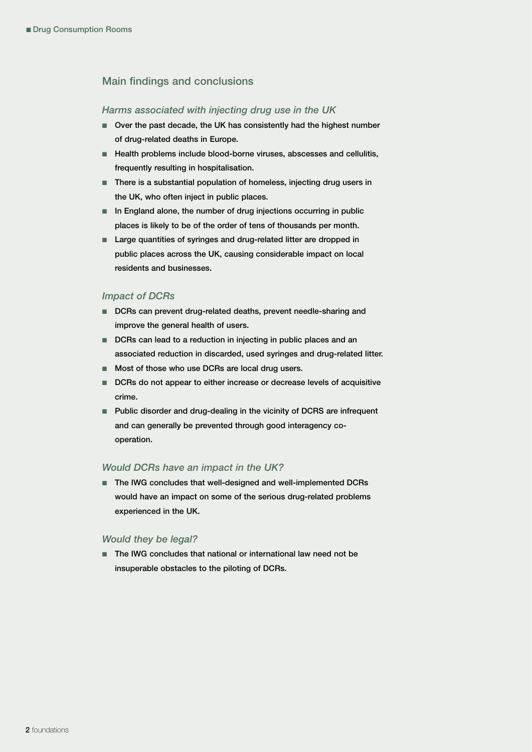## Main findings and conclusions

#### *Harms associated with injecting drug use in the UK*

- Over the past decade, the UK has consistently had the highest number of drug-related deaths in Europe.
- Health problems include blood-borne viruses, abscesses and cellulitis, frequently resulting in hospitalisation.
- There is a substantial population of homeless, injecting drug users in the UK, who often inject in public places.
- In England alone, the number of drug injections occurring in public places is likely to be of the order of tens of thousands per month.
- Large quantities of syringes and drug-related litter are dropped in public places across the UK, causing considerable impact on local residents and businesses.

#### *Impact of DCRs*

- DCRs can prevent drug-related deaths, prevent needle-sharing and improve the general health of users.
- DCRs can lead to a reduction in injecting in public places and an associated reduction in discarded, used syringes and drug-related litter.
- Most of those who use DCRs are local drug users.
- DCRs do not appear to either increase or decrease levels of acquisitive crime.
- Public disorder and drug-dealing in the vicinity of DCRS are infrequent and can generally be prevented through good interagency cooperation.

#### *Would DCRs have an impact in the UK?*

■ The IWG concludes that well-designed and well-implemented DCRs would have an impact on some of the serious drug-related problems experienced in the UK.

#### *Would they be legal?*

■ The IWG concludes that national or international law need not be insuperable obstacles to the piloting of DCRs.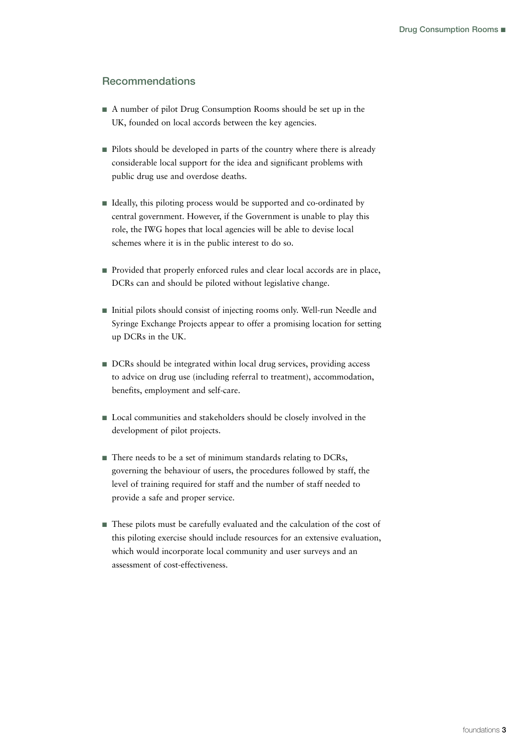# Recommendations

- A number of pilot Drug Consumption Rooms should be set up in the UK, founded on local accords between the key agencies.
- Pilots should be developed in parts of the country where there is already considerable local support for the idea and significant problems with public drug use and overdose deaths.
- Ideally, this piloting process would be supported and co-ordinated by central government. However, if the Government is unable to play this role, the IWG hopes that local agencies will be able to devise local schemes where it is in the public interest to do so.
- Provided that properly enforced rules and clear local accords are in place, DCRs can and should be piloted without legislative change.
- Initial pilots should consist of injecting rooms only. Well-run Needle and Syringe Exchange Projects appear to offer a promising location for setting up DCRs in the UK.
- DCRs should be integrated within local drug services, providing access to advice on drug use (including referral to treatment), accommodation, benefits, employment and self-care.
- Local communities and stakeholders should be closely involved in the development of pilot projects.
- There needs to be a set of minimum standards relating to DCRs, governing the behaviour of users, the procedures followed by staff, the level of training required for staff and the number of staff needed to provide a safe and proper service.
- These pilots must be carefully evaluated and the calculation of the cost of this piloting exercise should include resources for an extensive evaluation, which would incorporate local community and user surveys and an assessment of cost-effectiveness.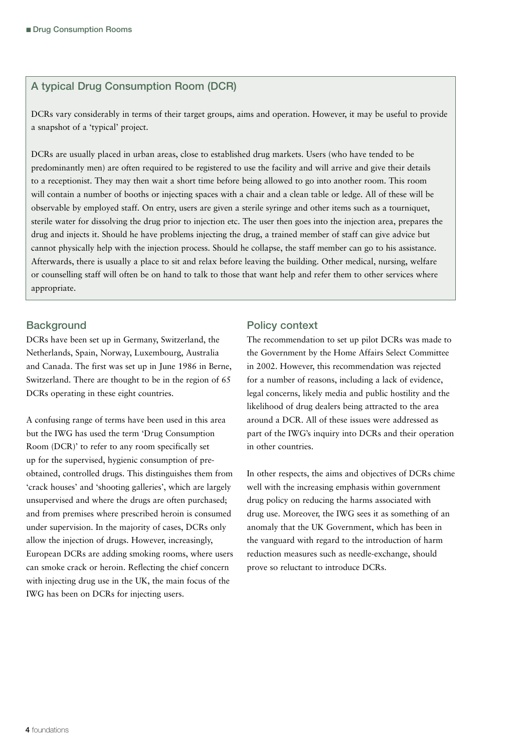# A typical Drug Consumption Room (DCR)

DCRs vary considerably in terms of their target groups, aims and operation. However, it may be useful to provide a snapshot of a 'typical' project.

DCRs are usually placed in urban areas, close to established drug markets. Users (who have tended to be predominantly men) are often required to be registered to use the facility and will arrive and give their details to a receptionist. They may then wait a short time before being allowed to go into another room. This room will contain a number of booths or injecting spaces with a chair and a clean table or ledge. All of these will be observable by employed staff. On entry, users are given a sterile syringe and other items such as a tourniquet, sterile water for dissolving the drug prior to injection etc. The user then goes into the injection area, prepares the drug and injects it. Should he have problems injecting the drug, a trained member of staff can give advice but cannot physically help with the injection process. Should he collapse, the staff member can go to his assistance. Afterwards, there is usually a place to sit and relax before leaving the building. Other medical, nursing, welfare or counselling staff will often be on hand to talk to those that want help and refer them to other services where appropriate.

#### **Background**

DCRs have been set up in Germany, Switzerland, the Netherlands, Spain, Norway, Luxembourg, Australia and Canada. The first was set up in June 1986 in Berne, Switzerland. There are thought to be in the region of 65 DCRs operating in these eight countries.

A confusing range of terms have been used in this area but the IWG has used the term 'Drug Consumption Room (DCR)' to refer to any room specifically set up for the supervised, hygienic consumption of preobtained, controlled drugs. This distinguishes them from 'crack houses' and 'shooting galleries', which are largely unsupervised and where the drugs are often purchased; and from premises where prescribed heroin is consumed under supervision. In the majority of cases, DCRs only allow the injection of drugs. However, increasingly, European DCRs are adding smoking rooms, where users can smoke crack or heroin. Reflecting the chief concern with injecting drug use in the UK, the main focus of the IWG has been on DCRs for injecting users.

#### Policy context

The recommendation to set up pilot DCRs was made to the Government by the Home Affairs Select Committee in 2002. However, this recommendation was rejected for a number of reasons, including a lack of evidence, legal concerns, likely media and public hostility and the likelihood of drug dealers being attracted to the area around a DCR. All of these issues were addressed as part of the IWG's inquiry into DCRs and their operation in other countries.

In other respects, the aims and objectives of DCRs chime well with the increasing emphasis within government drug policy on reducing the harms associated with drug use. Moreover, the IWG sees it as something of an anomaly that the UK Government, which has been in the vanguard with regard to the introduction of harm reduction measures such as needle-exchange, should prove so reluctant to introduce DCRs.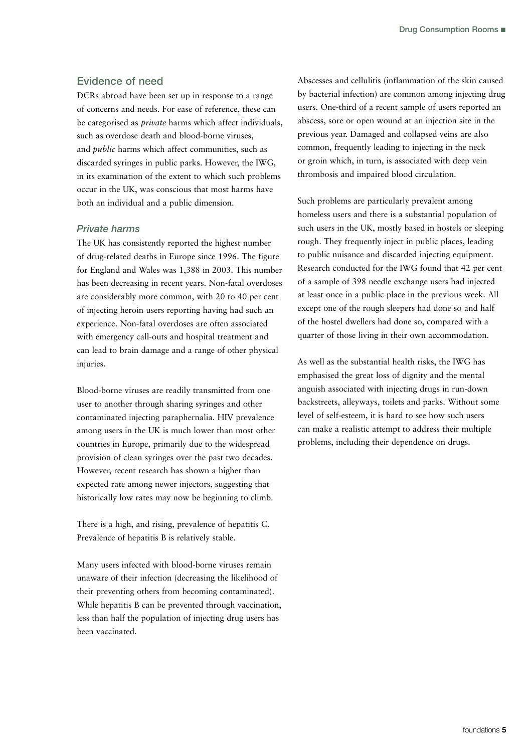#### Evidence of need

DCRs abroad have been set up in response to a range of concerns and needs. For ease of reference, these can be categorised as *private* harms which affect individuals, such as overdose death and blood-borne viruses, and *public* harms which affect communities, such as discarded syringes in public parks. However, the IWG, in its examination of the extent to which such problems occur in the UK, was conscious that most harms have both an individual and a public dimension.

#### *Private harms*

The UK has consistently reported the highest number of drug-related deaths in Europe since 1996. The figure for England and Wales was 1,388 in 2003. This number has been decreasing in recent years. Non-fatal overdoses are considerably more common, with 20 to 40 per cent of injecting heroin users reporting having had such an experience. Non-fatal overdoses are often associated with emergency call-outs and hospital treatment and can lead to brain damage and a range of other physical injuries.

Blood-borne viruses are readily transmitted from one user to another through sharing syringes and other contaminated injecting paraphernalia. HIV prevalence among users in the UK is much lower than most other countries in Europe, primarily due to the widespread provision of clean syringes over the past two decades. However, recent research has shown a higher than expected rate among newer injectors, suggesting that historically low rates may now be beginning to climb.

There is a high, and rising, prevalence of hepatitis C. Prevalence of hepatitis B is relatively stable.

Many users infected with blood-borne viruses remain unaware of their infection (decreasing the likelihood of their preventing others from becoming contaminated). While hepatitis B can be prevented through vaccination, less than half the population of injecting drug users has been vaccinated.

Abscesses and cellulitis (inflammation of the skin caused by bacterial infection) are common among injecting drug users. One-third of a recent sample of users reported an abscess, sore or open wound at an injection site in the previous year. Damaged and collapsed veins are also common, frequently leading to injecting in the neck or groin which, in turn, is associated with deep vein thrombosis and impaired blood circulation.

Such problems are particularly prevalent among homeless users and there is a substantial population of such users in the UK, mostly based in hostels or sleeping rough. They frequently inject in public places, leading to public nuisance and discarded injecting equipment. Research conducted for the IWG found that 42 per cent of a sample of 398 needle exchange users had injected at least once in a public place in the previous week. All except one of the rough sleepers had done so and half of the hostel dwellers had done so, compared with a quarter of those living in their own accommodation.

As well as the substantial health risks, the IWG has emphasised the great loss of dignity and the mental anguish associated with injecting drugs in run-down backstreets, alleyways, toilets and parks. Without some level of self-esteem, it is hard to see how such users can make a realistic attempt to address their multiple problems, including their dependence on drugs.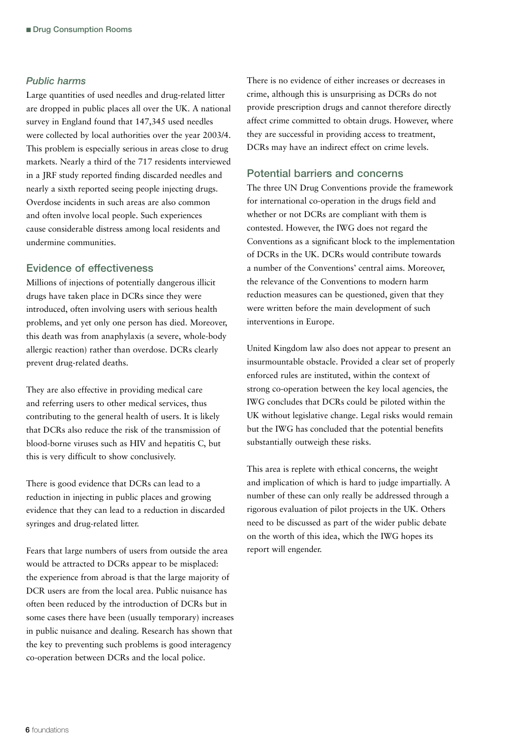#### *Public harms*

Large quantities of used needles and drug-related litter are dropped in public places all over the UK. A national survey in England found that 147,345 used needles were collected by local authorities over the year 2003/4. This problem is especially serious in areas close to drug markets. Nearly a third of the 717 residents interviewed in a JRF study reported finding discarded needles and nearly a sixth reported seeing people injecting drugs. Overdose incidents in such areas are also common and often involve local people. Such experiences cause considerable distress among local residents and undermine communities.

## Evidence of effectiveness

Millions of injections of potentially dangerous illicit drugs have taken place in DCRs since they were introduced, often involving users with serious health problems, and yet only one person has died. Moreover, this death was from anaphylaxis (a severe, whole-body allergic reaction) rather than overdose. DCRs clearly prevent drug-related deaths.

They are also effective in providing medical care and referring users to other medical services, thus contributing to the general health of users. It is likely that DCRs also reduce the risk of the transmission of blood-borne viruses such as HIV and hepatitis C, but this is very difficult to show conclusively.

There is good evidence that DCRs can lead to a reduction in injecting in public places and growing evidence that they can lead to a reduction in discarded syringes and drug-related litter.

Fears that large numbers of users from outside the area would be attracted to DCRs appear to be misplaced: the experience from abroad is that the large majority of DCR users are from the local area. Public nuisance has often been reduced by the introduction of DCRs but in some cases there have been (usually temporary) increases in public nuisance and dealing. Research has shown that the key to preventing such problems is good interagency co-operation between DCRs and the local police.

There is no evidence of either increases or decreases in crime, although this is unsurprising as DCRs do not provide prescription drugs and cannot therefore directly affect crime committed to obtain drugs. However, where they are successful in providing access to treatment, DCRs may have an indirect effect on crime levels.

#### Potential barriers and concerns

The three UN Drug Conventions provide the framework for international co-operation in the drugs field and whether or not DCRs are compliant with them is contested. However, the IWG does not regard the Conventions as a significant block to the implementation of DCRs in the UK. DCRs would contribute towards a number of the Conventions' central aims. Moreover, the relevance of the Conventions to modern harm reduction measures can be questioned, given that they were written before the main development of such interventions in Europe.

United Kingdom law also does not appear to present an insurmountable obstacle. Provided a clear set of properly enforced rules are instituted, within the context of strong co-operation between the key local agencies, the IWG concludes that DCRs could be piloted within the UK without legislative change. Legal risks would remain but the IWG has concluded that the potential benefits substantially outweigh these risks.

This area is replete with ethical concerns, the weight and implication of which is hard to judge impartially. A number of these can only really be addressed through a rigorous evaluation of pilot projects in the UK. Others need to be discussed as part of the wider public debate on the worth of this idea, which the IWG hopes its report will engender.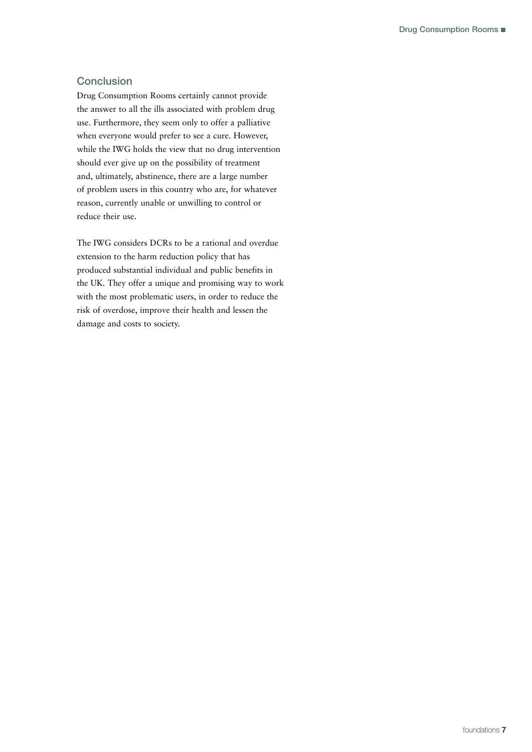# **Conclusion**

Drug Consumption Rooms certainly cannot provide the answer to all the ills associated with problem drug use. Furthermore, they seem only to offer a palliative when everyone would prefer to see a cure. However, while the IWG holds the view that no drug intervention should ever give up on the possibility of treatment and, ultimately, abstinence, there are a large number of problem users in this country who are, for whatever reason, currently unable or unwilling to control or reduce their use.

The IWG considers DCRs to be a rational and overdue extension to the harm reduction policy that has produced substantial individual and public benefits in the UK. They offer a unique and promising way to work with the most problematic users, in order to reduce the risk of overdose, improve their health and lessen the damage and costs to society.